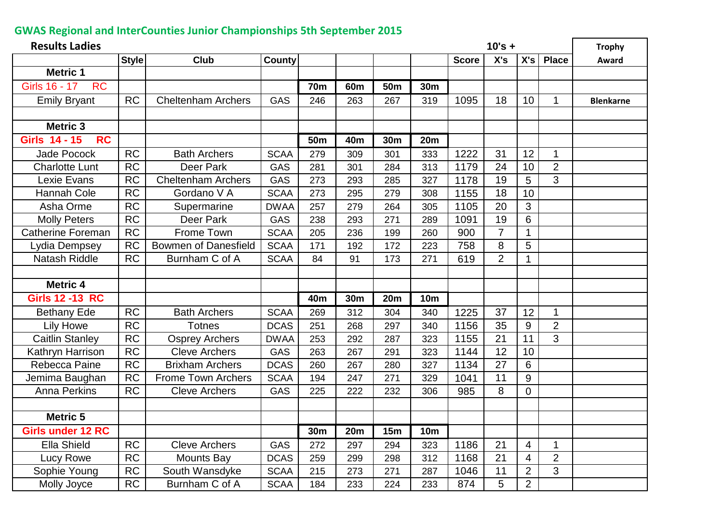## **GWAS Regional and InterCounties Junior Championships 5th September 2015**

| <b>Results Ladies</b><br>$10's +$ |              |                             |               |                 |                 |                 |                 |              |                |                | <b>Trophy</b>  |                  |
|-----------------------------------|--------------|-----------------------------|---------------|-----------------|-----------------|-----------------|-----------------|--------------|----------------|----------------|----------------|------------------|
|                                   | <b>Style</b> | <b>Club</b>                 | <b>County</b> |                 |                 |                 |                 | <b>Score</b> | X's            | X's            | <b>Place</b>   | Award            |
| <b>Metric 1</b>                   |              |                             |               |                 |                 |                 |                 |              |                |                |                |                  |
| Girls 16 - 17<br><b>RC</b>        |              |                             |               | <b>70m</b>      | 60 <sub>m</sub> | 50 <sub>m</sub> | 30 <sub>m</sub> |              |                |                |                |                  |
| <b>Emily Bryant</b>               | <b>RC</b>    | <b>Cheltenham Archers</b>   | <b>GAS</b>    | 246             | 263             | 267             | 319             | 1095         | 18             | 10             | 1              | <b>Blenkarne</b> |
|                                   |              |                             |               |                 |                 |                 |                 |              |                |                |                |                  |
| <b>Metric 3</b>                   |              |                             |               |                 |                 |                 |                 |              |                |                |                |                  |
| <b>Girls 14 - 15</b><br><b>RC</b> |              |                             |               | 50 <sub>m</sub> | 40 <sub>m</sub> | <b>30m</b>      | <b>20m</b>      |              |                |                |                |                  |
| <b>Jade Pocock</b>                | <b>RC</b>    | <b>Bath Archers</b>         | <b>SCAA</b>   | 279             | 309             | 301             | 333             | 1222         | 31             | 12             | 1              |                  |
| <b>Charlotte Lunt</b>             | <b>RC</b>    | Deer Park                   | <b>GAS</b>    | 281             | 301             | 284             | 313             | 1179         | 24             | 10             | $\overline{2}$ |                  |
| Lexie Evans                       | <b>RC</b>    | <b>Cheltenham Archers</b>   | <b>GAS</b>    | 273             | 293             | 285             | 327             | 1178         | 19             | 5              | 3              |                  |
| <b>Hannah Cole</b>                | <b>RC</b>    | Gordano V A                 | <b>SCAA</b>   | 273             | 295             | 279             | 308             | 1155         | 18             | 10             |                |                  |
| Asha Orme                         | RC           | Supermarine                 | <b>DWAA</b>   | 257             | 279             | 264             | 305             | 1105         | 20             | 3              |                |                  |
| <b>Molly Peters</b>               | <b>RC</b>    | Deer Park                   | <b>GAS</b>    | 238             | 293             | 271             | 289             | 1091         | 19             | 6              |                |                  |
| <b>Catherine Foreman</b>          | RC           | Frome Town                  | <b>SCAA</b>   | 205             | 236             | 199             | 260             | 900          | $\overline{7}$ |                |                |                  |
| Lydia Dempsey                     | <b>RC</b>    | <b>Bowmen of Danesfield</b> | <b>SCAA</b>   | 171             | 192             | 172             | 223             | 758          | 8              | 5              |                |                  |
| <b>Natash Riddle</b>              | <b>RC</b>    | Burnham C of A              | <b>SCAA</b>   | 84              | 91              | 173             | 271             | 619          | $\overline{2}$ | 1              |                |                  |
|                                   |              |                             |               |                 |                 |                 |                 |              |                |                |                |                  |
| <b>Metric 4</b>                   |              |                             |               |                 |                 |                 |                 |              |                |                |                |                  |
| <b>Girls 12 -13 RC</b>            |              |                             |               | 40 <sub>m</sub> | <b>30m</b>      | 20m             | <b>10m</b>      |              |                |                |                |                  |
| <b>Bethany Ede</b>                | <b>RC</b>    | <b>Bath Archers</b>         | <b>SCAA</b>   | 269             | 312             | 304             | 340             | 1225         | 37             | 12             | $\mathbf{1}$   |                  |
| <b>Lily Howe</b>                  | <b>RC</b>    | <b>Totnes</b>               | <b>DCAS</b>   | 251             | 268             | 297             | 340             | 1156         | 35             | 9              | $\overline{2}$ |                  |
| <b>Caitlin Stanley</b>            | <b>RC</b>    | <b>Osprey Archers</b>       | <b>DWAA</b>   | 253             | 292             | 287             | 323             | 1155         | 21             | 11             | 3              |                  |
| Kathryn Harrison                  | <b>RC</b>    | <b>Cleve Archers</b>        | GAS           | 263             | 267             | 291             | 323             | 1144         | 12             | 10             |                |                  |
| Rebecca Paine                     | <b>RC</b>    | <b>Brixham Archers</b>      | <b>DCAS</b>   | 260             | 267             | 280             | 327             | 1134         | 27             | 6              |                |                  |
| Jemima Baughan                    | <b>RC</b>    | <b>Frome Town Archers</b>   | <b>SCAA</b>   | 194             | 247             | 271             | 329             | 1041         | 11             | 9              |                |                  |
| <b>Anna Perkins</b>               | <b>RC</b>    | <b>Cleve Archers</b>        | <b>GAS</b>    | 225             | 222             | 232             | 306             | 985          | 8              | $\overline{0}$ |                |                  |
|                                   |              |                             |               |                 |                 |                 |                 |              |                |                |                |                  |
| <b>Metric 5</b>                   |              |                             |               |                 |                 |                 |                 |              |                |                |                |                  |
| Girls under 12 RC                 |              |                             |               | 30m             | <b>20m</b>      | 15m             | <b>10m</b>      |              |                |                |                |                  |
| Ella Shield                       | <b>RC</b>    | <b>Cleve Archers</b>        | <b>GAS</b>    | 272             | 297             | 294             | 323             | 1186         | 21             | 4              |                |                  |
| Lucy Rowe                         | <b>RC</b>    | <b>Mounts Bay</b>           | <b>DCAS</b>   | 259             | 299             | 298             | 312             | 1168         | 21             | 4              | $\overline{2}$ |                  |
| Sophie Young                      | <b>RC</b>    | South Wansdyke              | <b>SCAA</b>   | 215             | 273             | 271             | 287             | 1046         | 11             | $\overline{2}$ | 3              |                  |
| Molly Joyce                       | RC           | Burnham C of A              | <b>SCAA</b>   | 184             | 233             | 224             | 233             | 874          | 5              | $\overline{2}$ |                |                  |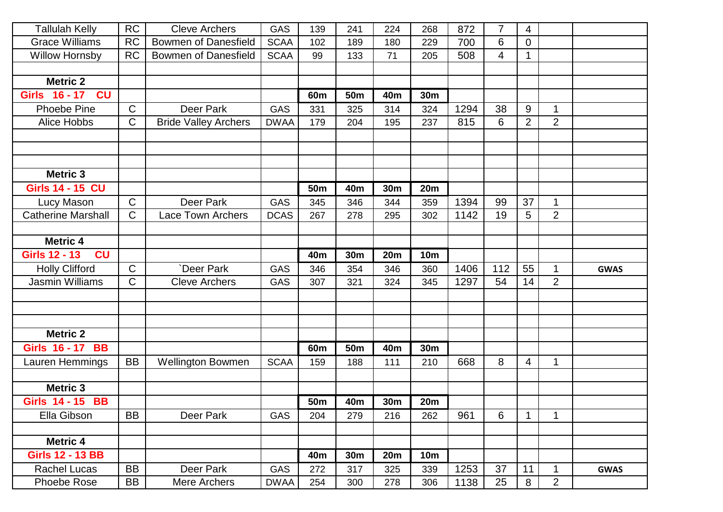| <b>Tallulah Kelly</b>      | <b>RC</b>    | <b>Cleve Archers</b>        | GAS         | 139             | 241             | 224        | 268        | 872  | 7   | 4              |                      |             |
|----------------------------|--------------|-----------------------------|-------------|-----------------|-----------------|------------|------------|------|-----|----------------|----------------------|-------------|
| <b>Grace Williams</b>      | <b>RC</b>    | <b>Bowmen of Danesfield</b> | <b>SCAA</b> | 102             | 189             | 180        | 229        | 700  | 6   | $\overline{0}$ |                      |             |
| Willow Hornsby             | <b>RC</b>    | <b>Bowmen of Danesfield</b> | <b>SCAA</b> | 99              | 133             | 71         | 205        | 508  | 4   | 1              |                      |             |
|                            |              |                             |             |                 |                 |            |            |      |     |                |                      |             |
| <b>Metric 2</b>            |              |                             |             |                 |                 |            |            |      |     |                |                      |             |
| Girls 16 - 17<br><b>CU</b> |              |                             |             | 60 <sub>m</sub> | 50 <sub>m</sub> | 40m        | 30m        |      |     |                |                      |             |
| <b>Phoebe Pine</b>         | $\mathsf{C}$ | Deer Park                   | GAS         | 331             | 325             | 314        | 324        | 1294 | 38  | 9              | $\blacktriangleleft$ |             |
| Alice Hobbs                | $\mathsf{C}$ | <b>Bride Valley Archers</b> | <b>DWAA</b> | 179             | 204             | 195        | 237        | 815  | 6   | $\overline{2}$ | $\overline{2}$       |             |
|                            |              |                             |             |                 |                 |            |            |      |     |                |                      |             |
| <b>Metric 3</b>            |              |                             |             |                 |                 |            |            |      |     |                |                      |             |
| <b>Girls 14 - 15 CU</b>    |              |                             |             | 50 <sub>m</sub> | 40 <sub>m</sub> | <b>30m</b> | <b>20m</b> |      |     |                |                      |             |
| Lucy Mason                 | $\mathsf{C}$ | Deer Park                   | GAS         | 345             | 346             | 344        | 359        | 1394 | 99  | 37             | 1                    |             |
| <b>Catherine Marshall</b>  | $\mathsf{C}$ | <b>Lace Town Archers</b>    | <b>DCAS</b> | 267             | 278             | 295        | 302        | 1142 | 19  | 5              | $\overline{2}$       |             |
|                            |              |                             |             |                 |                 |            |            |      |     |                |                      |             |
| <b>Metric 4</b>            |              |                             |             |                 |                 |            |            |      |     |                |                      |             |
| <b>Girls 12 - 13</b><br>CU |              |                             |             | 40 <sub>m</sub> | 30m             | 20m        | <b>10m</b> |      |     |                |                      |             |
| <b>Holly Clifford</b>      | $\mathsf{C}$ | Deer Park                   | GAS         | 346             | 354             | 346        | 360        | 1406 | 112 | 55             | $\mathbf 1$          | <b>GWAS</b> |
| <b>Jasmin Williams</b>     | $\mathsf{C}$ | <b>Cleve Archers</b>        | GAS         | 307             | 321             | 324        | 345        | 1297 | 54  | 14             | $\overline{2}$       |             |
|                            |              |                             |             |                 |                 |            |            |      |     |                |                      |             |
| <b>Metric 2</b>            |              |                             |             |                 |                 |            |            |      |     |                |                      |             |
| <b>Girls 16 - 17 BB</b>    |              |                             |             | 60m             | <b>50m</b>      | 40m        | 30m        |      |     |                |                      |             |
| Lauren Hemmings            | <b>BB</b>    | <b>Wellington Bowmen</b>    | <b>SCAA</b> | 159             | 188             | 111        | 210        | 668  | 8   | 4              | $\mathbf 1$          |             |
|                            |              |                             |             |                 |                 |            |            |      |     |                |                      |             |
| <b>Metric 3</b>            |              |                             |             |                 |                 |            |            |      |     |                |                      |             |
| <b>Girls 14 - 15 BB</b>    |              |                             |             | 50 <sub>m</sub> | 40 <sub>m</sub> | 30m        | <b>20m</b> |      |     |                |                      |             |
| Ella Gibson                | <b>BB</b>    | Deer Park                   | <b>GAS</b>  | 204             | 279             | 216        | 262        | 961  | 6   | 1              | 1                    |             |
| <b>Metric 4</b>            |              |                             |             |                 |                 |            |            |      |     |                |                      |             |
| <b>Girls 12 - 13 BB</b>    |              |                             |             | 40m             | 30m             | <b>20m</b> | <b>10m</b> |      |     |                |                      |             |
| <b>Rachel Lucas</b>        | <b>BB</b>    | Deer Park                   | GAS         | 272             | 317             | 325        | 339        | 1253 | 37  | 11             | $\overline{1}$       | <b>GWAS</b> |
| <b>Phoebe Rose</b>         | <b>BB</b>    | Mere Archers                | <b>DWAA</b> | 254             | 300             | 278        | 306        | 1138 | 25  | 8              | $\overline{2}$       |             |